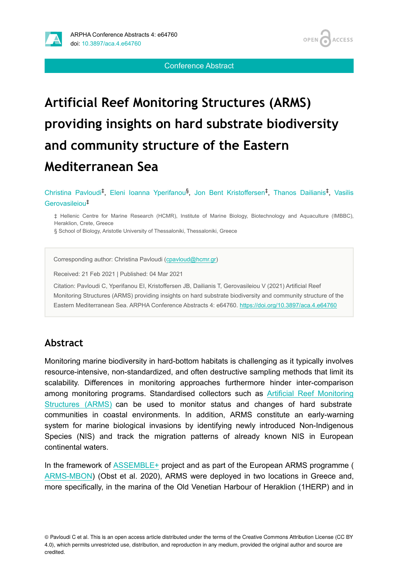

Conference Abstract

# **Artificial Reef Monitoring Structures (ARMS) providing insights on hard substrate biodiversity and community structure of the Eastern Mediterranean Sea**

Christina Pavloudi<sup>‡</sup>, Eleni Ioanna Yperifanou<sup>§</sup>, Jon Bent Kristoffersen<sup>‡</sup>, Thanos Dailianis<sup>‡</sup>, Vasilis Gerovasileiou ‡

‡ Hellenic Centre for Marine Research (HCMR), Institute of Marine Biology, Biotechnology and Aquaculture (IMBBC), Heraklion, Crete, Greece

§ School of Biology, Aristotle University of Thessaloniki, Thessaloniki, Greece

Corresponding author: Christina Pavloudi [\(cpavloud@hcmr.gr\)](mailto:cpavloud@hcmr.gr)

Received: 21 Feb 2021 | Published: 04 Mar 2021

Citation: Pavloudi C, Yperifanou EI, Kristoffersen JB, Dailianis T, Gerovasileiou V (2021) Artificial Reef Monitoring Structures (ARMS) providing insights on hard substrate biodiversity and community structure of the Eastern Mediterranean Sea. ARPHA Conference Abstracts 4: e64760. <https://doi.org/10.3897/aca.4.e64760>

#### **Abstract**

Monitoring marine biodiversity in hard-bottom habitats is challenging as it typically involves resource-intensive, non-standardized, and often destructive sampling methods that limit its scalability. Differences in monitoring approaches furthermore hinder inter-comparison among monitoring programs. Standardised collectors such as [Artificial Reef Monitoring](https://www.oceanarms.org) [Structures \(ARMS\)](https://www.oceanarms.org) can be used to monitor status and changes of hard substrate communities in coastal environments. In addition, ARMS constitute an early-warning system for marine biological invasions by identifying newly introduced Non-Indigenous Species (NIS) and track the migration patterns of already known NIS in European continental waters.

In the framework of [ASSEMBLE+](https://www.assembleplus.eu/) project and as part of the European ARMS programme ( [ARMS-MBON](http://www.assembleplus.eu/research/ARMS-MBON)) (Obst et al. 2020), ARMS were deployed in two locations in Greece and, more specifically, in the marina of the Old Venetian Harbour of Heraklion (1HERP) and in

© Pavloudi C et al. This is an open access article distributed under the terms of the Creative Commons Attribution License (CC BY 4.0), which permits unrestricted use, distribution, and reproduction in any medium, provided the original author and source are credited.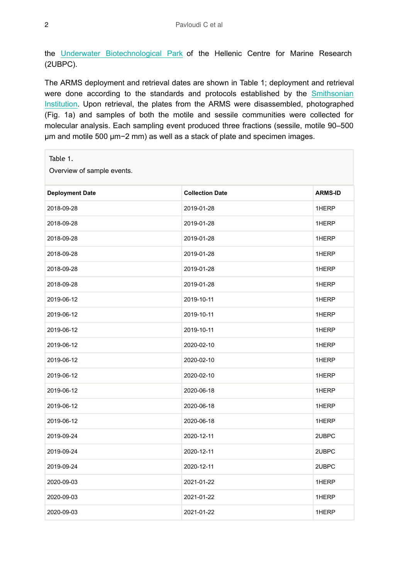the [Underwater Biotechnological Park](http://ubpcrete.hcmr.gr) of the Hellenic Centre for Marine Research (2UBPC).

The ARMS deployment and retrieval dates are shown in Table 1; deployment and retrieval were done according to the standards and protocols established by the [Smithsonian](https://naturalhistory.si.edu/research/global-arms-program) [Institution.](https://naturalhistory.si.edu/research/global-arms-program) Upon retrieval, the plates from the ARMS were disassembled, photographed (Fig. 1a) and samples of both the motile and sessile communities were collected for molecular analysis. Each sampling event produced three fractions (sessile, motile 90–500 μm and motile 500 μm−2 mm) as well as a stack of plate and specimen images.

| Table 1.                   |                        |                |
|----------------------------|------------------------|----------------|
| Overview of sample events. |                        |                |
| <b>Deployment Date</b>     | <b>Collection Date</b> | <b>ARMS-ID</b> |
| 2018-09-28                 | 2019-01-28             | 1HERP          |
| 2018-09-28                 | 2019-01-28             | 1HERP          |
| 2018-09-28                 | 2019-01-28             | 1HERP          |
| 2018-09-28                 | 2019-01-28             | 1HERP          |
| 2018-09-28                 | 2019-01-28             | 1HERP          |
| 2018-09-28                 | 2019-01-28             | 1HERP          |
| 2019-06-12                 | 2019-10-11             | 1HERP          |
| 2019-06-12                 | 2019-10-11             | 1HERP          |
| 2019-06-12                 | 2019-10-11             | 1HERP          |
| 2019-06-12                 | 2020-02-10             | 1HERP          |
| 2019-06-12                 | 2020-02-10             | 1HERP          |
| 2019-06-12                 | 2020-02-10             | 1HERP          |
| 2019-06-12                 | 2020-06-18             | 1HERP          |
| 2019-06-12                 | 2020-06-18             | 1HERP          |
| 2019-06-12                 | 2020-06-18             | 1HERP          |
| 2019-09-24                 | 2020-12-11             | 2UBPC          |
| 2019-09-24                 | 2020-12-11             | 2UBPC          |
| 2019-09-24                 | 2020-12-11             | 2UBPC          |
| 2020-09-03                 | 2021-01-22             | 1HERP          |
| 2020-09-03                 | 2021-01-22             | 1HERP          |
| 2020-09-03                 | 2021-01-22             | 1HERP          |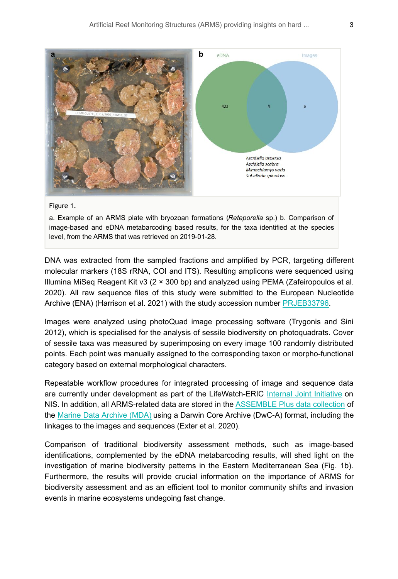

#### Figure 1.

a. Example of an ARMS plate with bryozoan formations (*Reteporella* sp.) b. Comparison of image-based and eDNA metabarcoding based results, for the taxa identified at the species level, from the ARMS that was retrieved on 2019-01-28.

DNA was extracted from the sampled fractions and amplified by PCR, targeting different molecular markers (18S rRNA, COI and ITS). Resulting amplicons were sequenced using Illumina MiSeq Reagent Kit v3 (2 × 300 bp) and analyzed using PEMA (Zafeiropoulos et al. 2020). All raw sequence files of this study were submitted to the European Nucleotide Archive (ENA) (Harrison et al. 2021) with the study accession number [PRJEB33796](https://www.ebi.ac.uk/ena/browser/view/PRJEB33796).

Images were analyzed using photoQuad image processing software (Trygonis and Sini 2012), which is specialised for the analysis of sessile biodiversity on photoquadrats. Cover of sessile taxa was measured by superimposing on every image 100 randomly distributed points. Each point was manually assigned to the corresponding taxon or morpho-functional category based on external morphological characters.

Repeatable workflow procedures for integrated processing of image and sequence data are currently under development as part of the LifeWatch-ERIC [Internal Joint Initiative](https://www.lifewatch.eu/internal-joint-initiative) on NIS. In addition, all ARMS-related data are stored in the [ASSEMBLE Plus data collection](http://www.assembleplus.eu/results/datasets) of the [Marine Data Archive \(MDA\)](http://www.assembleplus.eu/information-system?module=dataset&dasid=6405) using a Darwin Core Archive (DwC-A) format, including the linkages to the images and sequences (Exter et al. 2020).

Comparison of traditional biodiversity assessment methods, such as image-based identifications, complemented by the eDNA metabarcoding results, will shed light on the investigation of marine biodiversity patterns in the Eastern Mediterranean Sea (Fig. 1b). Furthermore, the results will provide crucial information on the importance of ARMS for biodiversity assessment and as an efficient tool to monitor community shifts and invasion events in marine ecosystems undegoing fast change.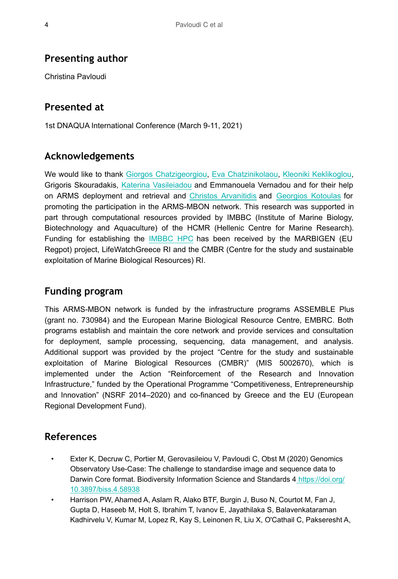### **Presenting author**

Christina Pavloudi

### **Presented at**

1st DNAQUA International Conference (March 9-11, 2021)

## **Acknowledgements**

We would like to thank [Giorgos Chatzigeorgiou](https://orcid.org/0000-0003-3507-6542), [Eva Chatzinikolaou](https://orcid.org/0000-0002-7171-5105), [Kleoniki Keklikoglou,](http://orcid.org/0000-0002-6693-2033) Grigoris Skouradakis, [Katerina Vasileiadou](https://orcid.org/0000-0002-5057-6417) and Emmanouela Vernadou and for their help on ARMS deployment and retrieval and [Christos Arvanitidis](https://orcid.org/0000-0002-6924-5255) and [Georgios Kotoulas](https://orcid.org/0000-0002-4667-8533) for promoting the participation in the ARMS-MBON network. This research was supported in part through computational resources provided by IMBBC (Institute of Marine Biology, Biotechnology and Aquaculture) of the HCMR (Hellenic Centre for Marine Research). Funding for establishing the [IMBBC HPC](https://hpc.hcmr.gr/) has been received by the MARBIGEN (EU Regpot) project, LifeWatchGreece RI and the CMBR (Centre for the study and sustainable exploitation of Marine Biological Resources) RI.

### **Funding program**

This ARMS-MBON network is funded by the infrastructure programs ASSEMBLE Plus (grant no. 730984) and the European Marine Biological Resource Centre, EMBRC. Both programs establish and maintain the core network and provide services and consultation for deployment, sample processing, sequencing, data management, and analysis. Additional support was provided by the project "Centre for the study and sustainable exploitation of Marine Biological Resources (CMBR)" (MIS 5002670), which is implemented under the Action "Reinforcement of the Research and Innovation Infrastructure," funded by the Operational Programme "Competitiveness, Entrepreneurship and Innovation" (NSRF 2014–2020) and co-financed by Greece and the EU (European Regional Development Fund).

#### **References**

- Exter K, Decruw C, Portier M, Gerovasileiou V, Pavloudi C, Obst M (2020) Genomics Observatory Use-Case: The challenge to standardise image and sequence data to Darwin Core format. Biodiversity Information Science and Standards 4 [https://doi.org/](https://doi.org/10.3897/biss.4.58938) [10.3897/biss.4.58938](https://doi.org/10.3897/biss.4.58938)
- Harrison PW, Ahamed A, Aslam R, Alako BTF, Burgin J, Buso N, Courtot M, Fan J, Gupta D, Haseeb M, Holt S, Ibrahim T, Ivanov E, Jayathilaka S, Balavenkataraman Kadhirvelu V, Kumar M, Lopez R, Kay S, Leinonen R, Liu X, O'Cathail C, Pakseresht A,